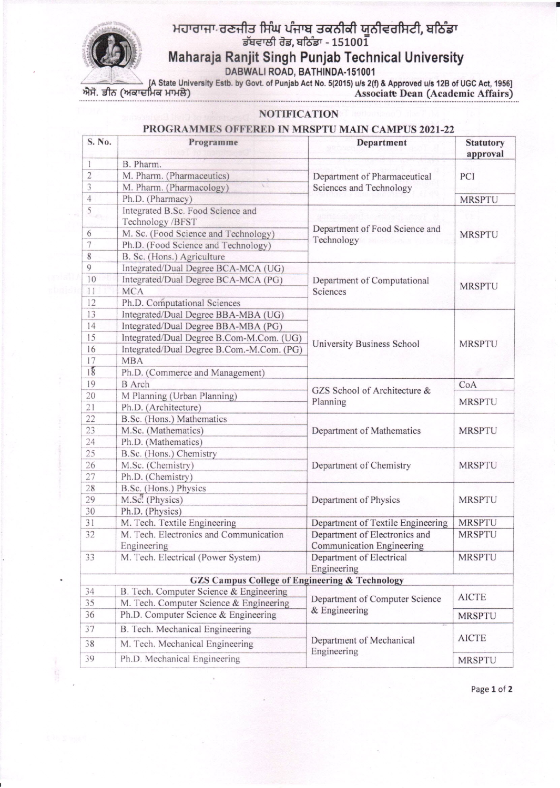## ਮਹਾਰਾਜਾ ਰਣਜੀਤ ਸਿੰਘ ਪੰਜਾਬ ਤਕਨੀਕੀ ਯਨੀਵਰਸਿਟੀ, ਬਠਿੰਡਾ <u>ਡੱਬਵਾਲੀ ਰੋਡ, ਬਠਿੰਡਾ - 151001</u> **Maharaja Ranjit Singh Punjab Technical University**



A State University Estb. by Govt. of Punjab Act No. 5(2015) u/s 2(f) & Approved u/s 12B of UGC Act, 1956]<br>ਐਸੋ. ਡੀਨ (ਅਕਾਦਮਿਕ ਮਾਮਲੇ)  $\overrightarrow{ {\rm Associate\,} \rm{Dean\,} (Academic\; Affairs)}$ 

**NOTIFICATION**

## S. No. **Programme Department Statutory approval** 1 B. Pharm. 2 M. Pharm. (Pharmaceutics)<br>
3 M. Pharm. (Pharmacology) Department of Pharmaceutical PCI 2 M. Pharm. (Pharmaceutics) . Department of Pharmac<br>3 M. Pharm. (Pharmacology) . Sciences and Technology 4 Ph.D. (Pharmacy) MRSPTU Integrated B.Sc. Food Science and Technology /BFST M. Sc. (Food Science and Technology) Department of Food Science and MRSPTU 7 Ph.D. (Food Science and Technology) 8 B. Sc. (Hons.) Agriculture<br>9 Integrated/Dual Degree BC Integrated/Dual Degree BCA-MCA (UG) 10 Integrated/Dual Degree BCA-MCA (PG) Department of Computational MRSPTU II MCA Science 12 Ph.D. Computational Sciences 13 Integrated/Dual Degree BBA-MBA (UG)<br>14 Integrated/Dual Degree BBA-MBA (PG) Integrated/Dual Degree BBA-MBA (PG) 15 Integrated/Dual Degree B.Com-M.Com. (UG) 15 Integrated/Dual Degree B.Com-M.Com. (PG) University Business School MRSPTU 17 MBA 18 Ph.D. (Commerce and Management) 19 BArch GZS School of Architecture & CoA 20 M Planning (Urban Planning) 20 M Planning Croan Planning Planning<br>21 Ph.D. (Architecture) Planning MRSPTU 22 B.Sc. (Hons.) Mathematics 23 M.Sc. (Mathematics) Department of Mathematics MRSPTU 24 Ph.D. (Mathematics) 25 B.Sc. (Hons.) Chemistry 26 M.Sc. (Chemistry) Department of Chemistry MRSPTU 27 Ph.D. (Chemistry) 28 B.Sc. (Hons.) Physics<br>29 M.Sc. (Physics) Department of Physics MRSPTU 30 Ph.D. (Physics) 31 M. Tech. Textile Engineering Department of Textile Engineering MRSPTU 32 M. Tech. Electronics and Communication Department of Electronics and MRSPTU Engineering Communication Engineering **33** M. Tech. Electrical (Power System) Department of Electrical MRSPTU Engineering **GZS** Campus College of Engineering & Technology  $34$  B. Tech. Computer Science & Engineering. AICTE 35 M. Tech. Computer Science & Engineering.<br>36 Ph.D. Computer Science & Engineering. Department of Computer Science Ph.D. Computer Science & Engineering & Engineering MRSPTU 37 B. Tech. Mechanical Engineering 38 M. Tech. Mechanical Engineering Department of Mechanical AICTE 39 Ph.D. Mechanical Engineering Engineering MRSPTU '--

## **PROGRAMMES OFFERED IN MRSPTU MAIN CAMPUS 2021-22**

Page 1 of 2

•